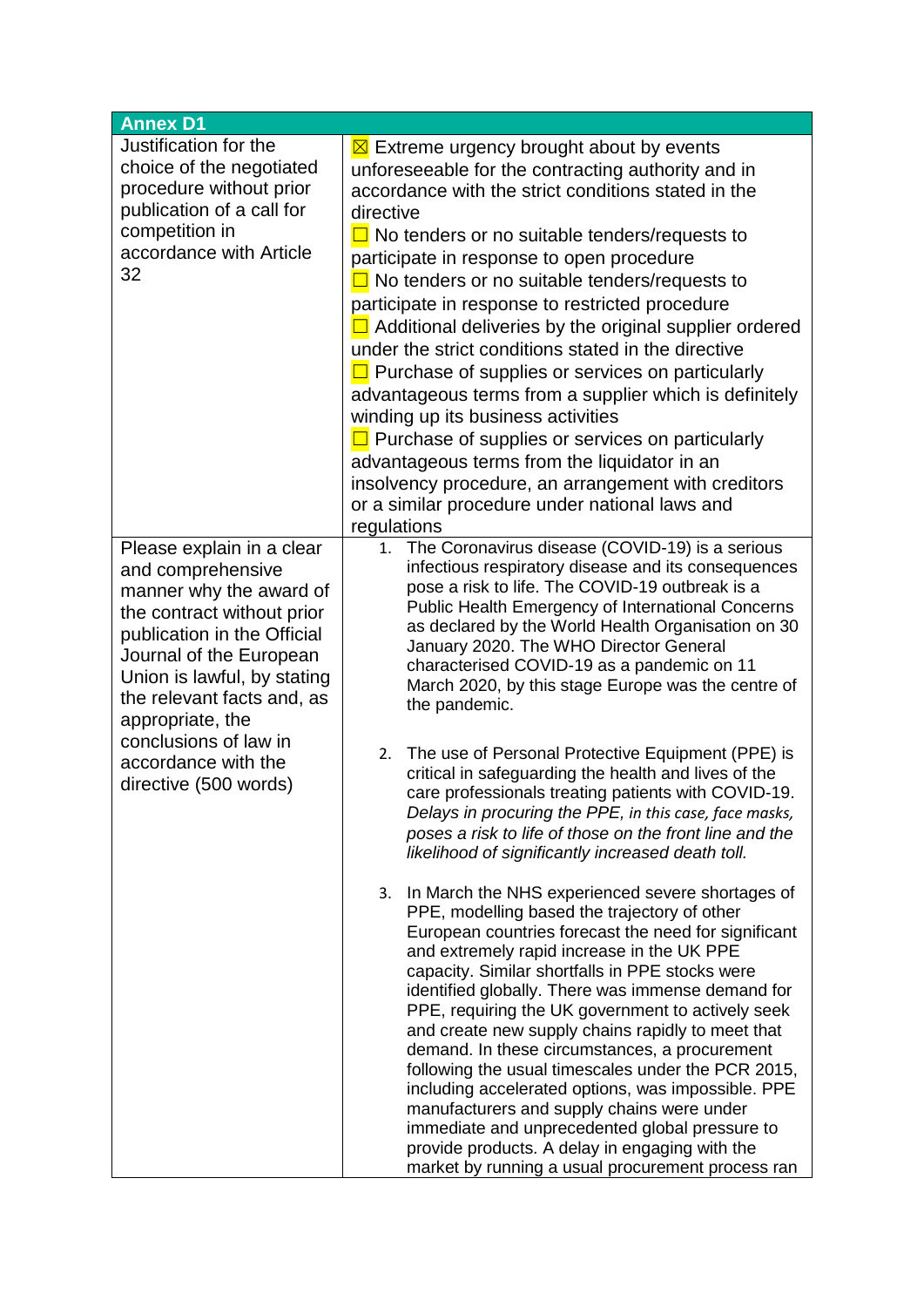| <b>Annex D1</b>                                                                                                                                                                                                                                                                                |                                                                                                                                                                                                                                                                                                                                                                                                                                                                                                                                                                                                                                                                                                                                                                                                                                                                                                                     |
|------------------------------------------------------------------------------------------------------------------------------------------------------------------------------------------------------------------------------------------------------------------------------------------------|---------------------------------------------------------------------------------------------------------------------------------------------------------------------------------------------------------------------------------------------------------------------------------------------------------------------------------------------------------------------------------------------------------------------------------------------------------------------------------------------------------------------------------------------------------------------------------------------------------------------------------------------------------------------------------------------------------------------------------------------------------------------------------------------------------------------------------------------------------------------------------------------------------------------|
| Justification for the<br>choice of the negotiated<br>procedure without prior<br>publication of a call for<br>competition in<br>accordance with Article<br>32                                                                                                                                   | $\boxtimes$ Extreme urgency brought about by events<br>unforeseeable for the contracting authority and in<br>accordance with the strict conditions stated in the<br>directive<br>$\Box$ No tenders or no suitable tenders/requests to<br>participate in response to open procedure<br>$\Box$ No tenders or no suitable tenders/requests to<br>participate in response to restricted procedure<br>$\Box$ Additional deliveries by the original supplier ordered<br>under the strict conditions stated in the directive<br>$\Box$ Purchase of supplies or services on particularly<br>advantageous terms from a supplier which is definitely<br>winding up its business activities<br>$\Box$ Purchase of supplies or services on particularly<br>advantageous terms from the liquidator in an<br>insolvency procedure, an arrangement with creditors<br>or a similar procedure under national laws and<br>regulations |
| Please explain in a clear                                                                                                                                                                                                                                                                      | 1. The Coronavirus disease (COVID-19) is a serious                                                                                                                                                                                                                                                                                                                                                                                                                                                                                                                                                                                                                                                                                                                                                                                                                                                                  |
| and comprehensive<br>manner why the award of<br>the contract without prior<br>publication in the Official<br>Journal of the European<br>Union is lawful, by stating<br>the relevant facts and, as<br>appropriate, the<br>conclusions of law in<br>accordance with the<br>directive (500 words) | infectious respiratory disease and its consequences<br>pose a risk to life. The COVID-19 outbreak is a<br>Public Health Emergency of International Concerns<br>as declared by the World Health Organisation on 30<br>January 2020. The WHO Director General<br>characterised COVID-19 as a pandemic on 11<br>March 2020, by this stage Europe was the centre of<br>the pandemic.<br>The use of Personal Protective Equipment (PPE) is<br>2.<br>critical in safeguarding the health and lives of the<br>care professionals treating patients with COVID-19.<br>Delays in procuring the PPE, in this case, face masks,<br>poses a risk to life of those on the front line and the<br>likelihood of significantly increased death toll.                                                                                                                                                                                |
|                                                                                                                                                                                                                                                                                                | In March the NHS experienced severe shortages of<br>3.<br>PPE, modelling based the trajectory of other<br>European countries forecast the need for significant<br>and extremely rapid increase in the UK PPE<br>capacity. Similar shortfalls in PPE stocks were<br>identified globally. There was immense demand for<br>PPE, requiring the UK government to actively seek<br>and create new supply chains rapidly to meet that<br>demand. In these circumstances, a procurement<br>following the usual timescales under the PCR 2015,<br>including accelerated options, was impossible. PPE<br>manufacturers and supply chains were under<br>immediate and unprecedented global pressure to<br>provide products. A delay in engaging with the<br>market by running a usual procurement process ran                                                                                                                  |